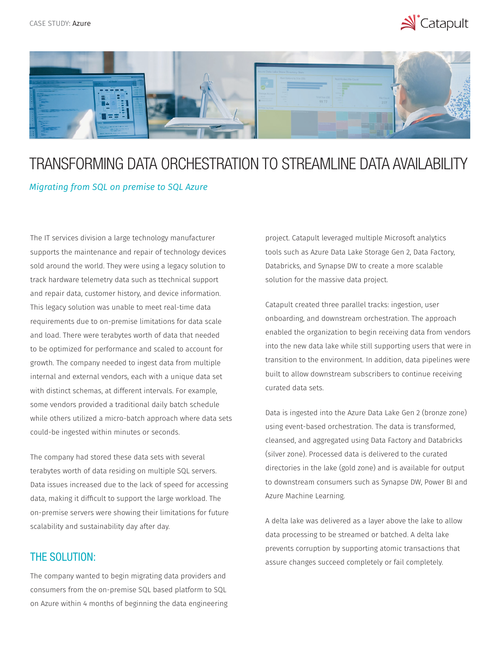



## TRANSFORMING DATA ORCHESTRATION TO STREAMLINE DATA AVAILABILITY

## *Migrating from SQL on premise to SQL Azure*

The IT services division a large technology manufacturer supports the maintenance and repair of technology devices sold around the world. They were using a legacy solution to track hardware telemetry data such as ttechnical support and repair data, customer history, and device information. This legacy solution was unable to meet real-time data requirements due to on-premise limitations for data scale and load. There were terabytes worth of data that needed to be optimized for performance and scaled to account for growth. The company needed to ingest data from multiple internal and external vendors, each with a unique data set with distinct schemas, at different intervals. For example, some vendors provided a traditional daily batch schedule while others utilized a micro-batch approach where data sets could-be ingested within minutes or seconds.

The company had stored these data sets with several terabytes worth of data residing on multiple SQL servers. Data issues increased due to the lack of speed for accessing data, making it difficult to support the large workload. The on-premise servers were showing their limitations for future scalability and sustainability day after day.

## THE SOLUTION:

The company wanted to begin migrating data providers and consumers from the on-premise SQL based platform to SQL on Azure within 4 months of beginning the data engineering project. Catapult leveraged multiple Microsoft analytics tools such as Azure Data Lake Storage Gen 2, Data Factory, Databricks, and Synapse DW to create a more scalable solution for the massive data project.

Catapult created three parallel tracks: ingestion, user onboarding, and downstream orchestration. The approach enabled the organization to begin receiving data from vendors into the new data lake while still supporting users that were in transition to the environment. In addition, data pipelines were built to allow downstream subscribers to continue receiving curated data sets.

Data is ingested into the Azure Data Lake Gen 2 (bronze zone) using event-based orchestration. The data is transformed, cleansed, and aggregated using Data Factory and Databricks (silver zone). Processed data is delivered to the curated directories in the lake (gold zone) and is available for output to downstream consumers such as Synapse DW, Power BI and Azure Machine Learning.

A delta lake was delivered as a layer above the lake to allow data processing to be streamed or batched. A delta lake prevents corruption by supporting atomic transactions that assure changes succeed completely or fail completely.